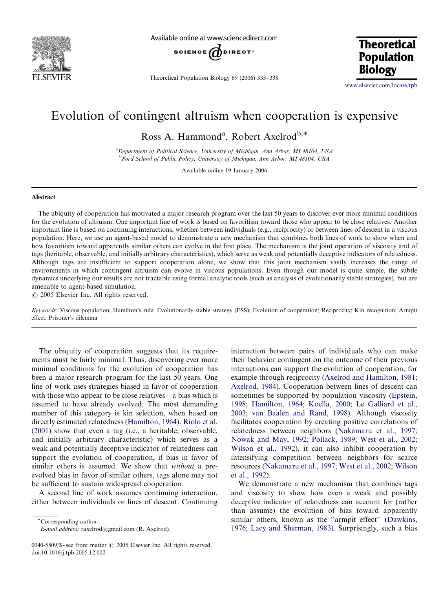

Available online at www.sciencedirect.com



Theoretical Population Biology 69 (2006) 333–338

**Theoretical Population Biology** 

<www.elsevier.com/locate/tpb>

## Evolution of contingent altruism when cooperation is expensive

Ross A. Hammond<sup>a</sup>, Robert Axelrod<sup>b,\*</sup>

<sup>a</sup>Department of Political Science, University of Michigan, Ann Arbor, MI 48104, USA <sup>b</sup>Ford School of Public Policy, University of Michigan, Ann Arbor, MI 48104, USA

Available online 19 January 2006

## Abstract

The ubiquity of cooperation has motivated a major research program over the last 50 years to discover ever more minimal conditions for the evolution of altruism. One important line of work is based on favoritism toward those who appear to be close relatives. Another important line is based on continuing interactions, whether between individuals (e.g., reciprocity) or between lines of descent in a viscous population. Here, we use an agent-based model to demonstrate a new mechanism that combines both lines of work to show when and how favoritism toward apparently similar others can evolve in the first place. The mechanism is the joint operation of viscosity and of tags (heritable, observable, and initially arbitrary characteristics), which serve as weak and potentially deceptive indicators of relatedness. Although tags are insufficient to support cooperation alone, we show that this joint mechanism vastly increases the range of environments in which contingent altruism can evolve in viscous populations. Even though our model is quite simple, the subtle dynamics underlying our results are not tractable using formal analytic tools (such as analysis of evolutionarily stable strategies), but are amenable to agent-based simulation.

 $\odot$  2005 Elsevier Inc. All rights reserved.

Keywords: Viscous population; Hamilton's rule; Evolutionarily stable strategy (ESS); Evolution of cooperation; Reciprocity; Kin recognition; Armpit effect; Prisoner's dilemma

The ubiquity of cooperation suggests that its requirements must be fairly minimal. Thus, discovering ever more minimal conditions for the evolution of cooperation has been a major research program for the last 50 years. One line of work uses strategies biased in favor of cooperation with those who appear to be close relatives—a bias which is assumed to have already evolved. The most demanding member of this category is kin selection, when based on directly estimated relatedness [\(Hamilton, 1964](#page-5-0)). [Riolo et al.](#page-5-0) [\(2001\)](#page-5-0) show that even a tag (i.e., a heritable, observable, and initially arbitrary characteristic) which serves as a weak and potentially deceptive indicator of relatedness can support the evolution of cooperation, if bias in favor of similar others is assumed. We show that without a preevolved bias in favor of similar others, tags alone may not be sufficient to sustain widespread cooperation.

A second line of work assumes continuing interaction, either between individuals or lines of descent. Continuing

Corresponding author.

E-mail address: raxelrod@gmail.com (R. Axelrod).

interaction between pairs of individuals who can make their behavior contingent on the outcome of their previous interactions can support the evolution of cooperation, for example through reciprocity ([Axelrod and Hamilton, 1981;](#page-5-0) [Axelrod, 1984](#page-5-0)). Cooperation between lines of descent can sometimes be supported by population viscosity ([Epstein,](#page-5-0) [1998](#page-5-0); [Hamilton, 1964](#page-5-0); [Koella, 2000](#page-5-0); [Le Galliard et al.,](#page-5-0) [2003](#page-5-0); [van Baalen and Rand, 1998\)](#page-5-0). Although viscosity facilitates cooperation by creating positive correlations of relatedness between neighbors [\(Nakamaru et al., 1997;](#page-5-0) [Nowak and May, 1992;](#page-5-0) [Pollack, 1989;](#page-5-0) [West et al., 2002;](#page-5-0) [Wilson et al., 1992\)](#page-5-0), it can also inhibit cooperation by intensifying competition between neighbors for scarce resources ([Nakamaru et al., 1997;](#page-5-0) [West et al., 2002](#page-5-0); [Wilson](#page-5-0) [et al., 1992\)](#page-5-0).

We demonstrate a new mechanism that combines tags and viscosity to show how even a weak and possibly deceptive indicator of relatedness can account for (rather than assume) the evolution of bias toward apparently similar others, known as the ''armpit effect'' ([Dawkins,](#page-5-0) [1976](#page-5-0); [Lacy and Sherman, 1983](#page-5-0)). Surprisingly, such a bias

<sup>0040-5809/\$ -</sup> see front matter  $\odot$  2005 Elsevier Inc. All rights reserved. doi:10.1016/j.tpb.2005.12.002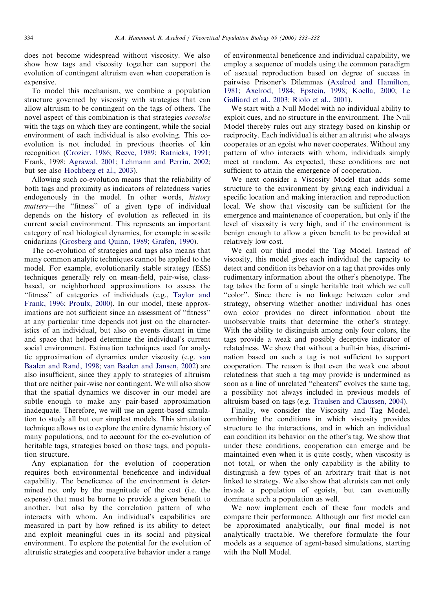does not become widespread without viscosity. We also show how tags and viscosity together can support the evolution of contingent altruism even when cooperation is expensive.

To model this mechanism, we combine a population structure governed by viscosity with strategies that can allow altruism to be contingent on the tags of others. The novel aspect of this combination is that strategies coevolve with the tags on which they are contingent, while the social environment of each individual is also evolving. This coevolution is not included in previous theories of kin recognition ([Crozier, 1986](#page-5-0); [Reeve, 1989;](#page-5-0) [Ratnieks, 1991](#page-5-0); Frank, 1998; [Agrawal, 2001](#page-5-0); [Lehmann and Perrin, 2002](#page-5-0); but see also [Hochberg et al., 2003\)](#page-5-0).

Allowing such co-evolution means that the reliability of both tags and proximity as indicators of relatedness varies endogenously in the model. In other words, history matters—the "fitness" of a given type of individual depends on the history of evolution as reflected in its current social environment. This represents an important category of real biological dynamics, for example in sessile cnidarians [\(Grosberg and Quinn, 1989](#page-5-0); [Grafen, 1990](#page-5-0)).

The co-evolution of strategies and tags also means that many common analytic techniques cannot be applied to the model. For example, evolutionarily stable strategy (ESS) techniques generally rely on mean-field, pair-wise, classbased, or neighborhood approximations to assess the ''fitness'' of categories of individuals (e.g., [Taylor and](#page-5-0) [Frank, 1996](#page-5-0); [Proulx, 2000](#page-5-0)). In our model, these approximations are not sufficient since an assessment of ''fitness'' at any particular time depends not just on the characteristics of an individual, but also on events distant in time and space that helped determine the individual's current social environment. Estimation techniques used for analytic approximation of dynamics under viscosity (e.g. [van](#page-5-0) [Baalen and Rand, 1998;](#page-5-0) [van Baalen and Jansen, 2002](#page-5-0)) are also insufficient, since they apply to strategies of altruism that are neither pair-wise nor contingent. We will also show that the spatial dynamics we discover in our model are subtle enough to make any pair-based approximation inadequate. Therefore, we will use an agent-based simulation to study all but our simplest models. This simulation technique allows us to explore the entire dynamic history of many populations, and to account for the co-evolution of heritable tags, strategies based on those tags, and population structure.

Any explanation for the evolution of cooperation requires both environmental beneficence and individual capability. The beneficence of the environment is determined not only by the magnitude of the cost (i.e. the expense) that must be borne to provide a given benefit to another, but also by the correlation pattern of who interacts with whom. An individual's capabilities are measured in part by how refined is its ability to detect and exploit meaningful cues in its social and physical environment. To explore the potential for the evolution of altruistic strategies and cooperative behavior under a range of environmental beneficence and individual capability, we employ a sequence of models using the common paradigm of asexual reproduction based on degree of success in pairwise Prisoner's Dilemmas [\(Axelrod and Hamilton,](#page-5-0) [1981;](#page-5-0) [Axelrod, 1984;](#page-5-0) [Epstein, 1998](#page-5-0); [Koella, 2000](#page-5-0); [Le](#page-5-0) [Galliard et al., 2003](#page-5-0); [Riolo et al., 2001\)](#page-5-0).

We start with a Null Model with no individual ability to exploit cues, and no structure in the environment. The Null Model thereby rules out any strategy based on kinship or reciprocity. Each individual is either an altruist who always cooperates or an egoist who never cooperates. Without any pattern of who interacts with whom, individuals simply meet at random. As expected, these conditions are not sufficient to attain the emergence of cooperation.

We next consider a Viscosity Model that adds some structure to the environment by giving each individual a specific location and making interaction and reproduction local. We show that viscosity can be sufficient for the emergence and maintenance of cooperation, but only if the level of viscosity is very high, and if the environment is benign enough to allow a given benefit to be provided at relatively low cost.

We call our third model the Tag Model. Instead of viscosity, this model gives each individual the capacity to detect and condition its behavior on a tag that provides only rudimentary information about the other's phenotype. The tag takes the form of a single heritable trait which we call ''color''. Since there is no linkage between color and strategy, observing whether another individual has ones own color provides no direct information about the unobservable traits that determine the other's strategy. With the ability to distinguish among only four colors, the tags provide a weak and possibly deceptive indicator of relatedness. We show that without a built-in bias, discrimination based on such a tag is not sufficient to support cooperation. The reason is that even the weak cue about relatedness that such a tag may provide is undermined as soon as a line of unrelated ''cheaters'' evolves the same tag, a possibility not always included in previous models of altruism based on tags (e.g. [Traulsen and Claussen, 2004\)](#page-5-0).

Finally, we consider the Viscosity and Tag Model, combining the conditions in which viscosity provides structure to the interactions, and in which an individual can condition its behavior on the other's tag. We show that under these conditions, cooperation can emerge and be maintained even when it is quite costly, when viscosity is not total, or when the only capability is the ability to distinguish a few types of an arbitrary trait that is not linked to strategy. We also show that altruists can not only invade a population of egoists, but can eventually dominate such a population as well.

We now implement each of these four models and compare their performance. Although our first model can be approximated analytically, our final model is not analytically tractable. We therefore formulate the four models as a sequence of agent-based simulations, starting with the Null Model.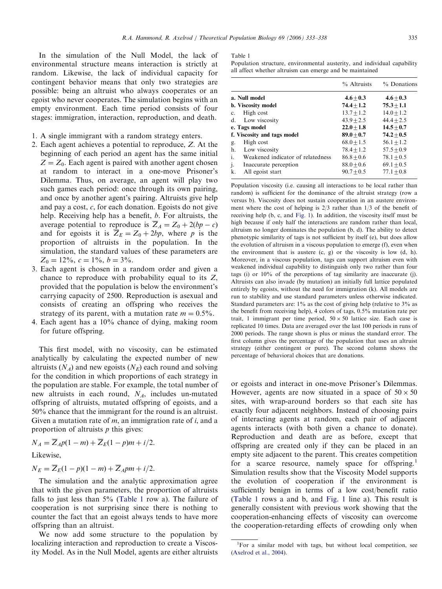<span id="page-2-0"></span>In the simulation of the Null Model, the lack of environmental structure means interaction is strictly at random. Likewise, the lack of individual capacity for contingent behavior means that only two strategies are possible: being an altruist who always cooperates or an egoist who never cooperates. The simulation begins with an empty environment. Each time period consists of four stages: immigration, interaction, reproduction, and death.

- 1. A single immigrant with a random strategy enters.
- 2. Each agent achieves a potential to reproduce, Z. At the beginning of each period an agent has the same initial  $Z = Z_0$ . Each agent is paired with another agent chosen at random to interact in a one-move Prisoner's Dilemma. Thus, on average, an agent will play two such games each period: once through its own pairing, and once by another agent's pairing. Altruists give help and pay a cost, c, for each donation. Egoists do not give help. Receiving help has a benefit, b. For altruists, the average potential to reproduce is  $\overline{Z}_A = Z_0 + 2(bp - c)$ and for egoists it is  $\overline{Z}_E = Z_0 + 2bp$ , where p is the proportion of altruists in the population. In the simulation, the standard values of these parameters are  $Z_0 = 12\%, c = 1\%, b = 3\%.$
- 3. Each agent is chosen in a random order and given a chance to reproduce with probability equal to its Z, provided that the population is below the environment's carrying capacity of 2500. Reproduction is asexual and consists of creating an offspring who receives the strategy of its parent, with a mutation rate  $m = 0.5\%$ .
- 4. Each agent has a 10% chance of dying, making room for future offspring.

This first model, with no viscosity, can be estimated analytically by calculating the expected number of new altruists  $(N_A)$  and new egoists  $(N_E)$  each round and solving for the condition in which proportions of each strategy in the population are stable. For example, the total number of new altruists in each round,  $N_A$ , includes un-mutated offspring of altruists, mutated offspring of egoists, and a 50% chance that the immigrant for the round is an altruist. Given a mutation rate of  $m$ , an immigration rate of  $i$ , and a proportion of altruists  $p$  this gives:

 $N_A = \overline{Z}_A p(1-m) + \overline{Z}_E(1-p)m + i/2.$ Likewise,

$$
N_E = \overline{Z}_E(1-p)(1-m) + \overline{Z}_A p m + i/2.
$$

The simulation and the analytic approximation agree that with the given parameters, the proportion of altruists falls to just less than 5% (Table 1 row a). The failure of cooperation is not surprising since there is nothing to counter the fact that an egoist always tends to have more offspring than an altruist.

We now add some structure to the population by localizing interaction and reproduction to create a Viscosity Model. As in the Null Model, agents are either altruists

## Table 1

Population structure, environmental austerity, and individual capability all affect whether altruism can emerge and be maintained

|                                         | % Altruists    | % Donations  |
|-----------------------------------------|----------------|--------------|
| a. Null model                           | $4.6 + 0.3$    | $4.6 + 0.3$  |
| b. Viscosity model                      | $74.4 + 1.2$   | $75.3 + 1.1$ |
| High cost<br>c.                         | $13.7 + 1.2$   | $14.0 + 1.2$ |
| Low viscosity<br>d.                     | $43.9 + 2.5$   | $44.4 + 2.5$ |
| e. Tags model                           | $22.0 + 1.8$   | $14.5 + 0.7$ |
| f. Viscosity and tags model             | $89.0 \pm 0.7$ | $74.2 + 0.5$ |
| High cost<br>g.                         | $68.0 + 1.5$   | $56.1 + 1.2$ |
| Low viscosity<br>h.                     | $78.4 + 1.2$   | $57.5 + 0.9$ |
| i.<br>Weakened indicator of relatedness | $86.8 + 0.6$   | $78.1 + 0.5$ |
| Inaccurate perception<br>$\mathbf{1}$   | $88.0 + 0.6$   | $69.1 + 0.5$ |
| All egoist start<br>k.                  | $90.7 + 0.5$   | $77.1 + 0.8$ |

Population viscosity (i.e. causing all interactions to be local rather than random) is sufficient for the dominance of the altruist strategy (row a versus b). Viscosity does not sustain cooperation in an austere environment where the cost of helping is 2/3 rather than 1/3 of the benefit of receiving help (b, c, and [Fig. 1\)](#page-3-0). In addition, the viscosity itself must be high because if only half the interactions are random rather than local, altruism no longer dominates the population (b, d). The ability to detect phenotypic similarity of tags is not sufficient by itself (e), but does allow the evolution of altruism in a viscous population to emerge (f), even when the environment that is austere (c, g) or the viscosity is low (d, h). Moreover, in a viscous population, tags can support altruism even with weakened individual capability to distinguish only two rather than four tags (i) or 10% of the perceptions of tag similarity are inaccurate (j). Altruists can also invade (by mutation) an initially full lattice populated entirely by egoists, without the need for immigration (k). All models are run to stability and use standard parameters unless otherwise indicated. Standard parameters are: 1% as the cost of giving help (relative to 3% as the benefit from receiving help), 4 colors of tags, 0.5% mutation rate per trait, 1 immigrant per time period,  $50 \times 50$  lattice size. Each case is replicated 10 times. Data are averaged over the last 100 periods in runs of 2000 periods. The range shown is plus or minus the standard error. The first column gives the percentage of the population that uses an altruist strategy (either contingent or pure). The second column shows the percentage of behavioral choices that are donations.

or egoists and interact in one-move Prisoner's Dilemmas. However, agents are now situated in a space of  $50 \times 50$ sites, with wrap-around borders so that each site has exactly four adjacent neighbors. Instead of choosing pairs of interacting agents at random, each pair of adjacent agents interacts (with both given a chance to donate). Reproduction and death are as before, except that offspring are created only if they can be placed in an empty site adjacent to the parent. This creates competition for a scarce resource, namely space for offspring.<sup>1</sup> Simulation results show that the Viscosity Model supports the evolution of cooperation if the environment is sufficiently benign in terms of a low cost/benefit ratio (Table 1 rows a and b, and [Fig. 1](#page-3-0) line a). This result is generally consistent with previous work showing that the cooperation-enhancing effects of viscosity can overcome the cooperation-retarding effects of crowding only when

<sup>&</sup>lt;sup>1</sup>For a similar model with tags, but without local competition, see [\(Axelrod et al., 2004](#page-5-0)).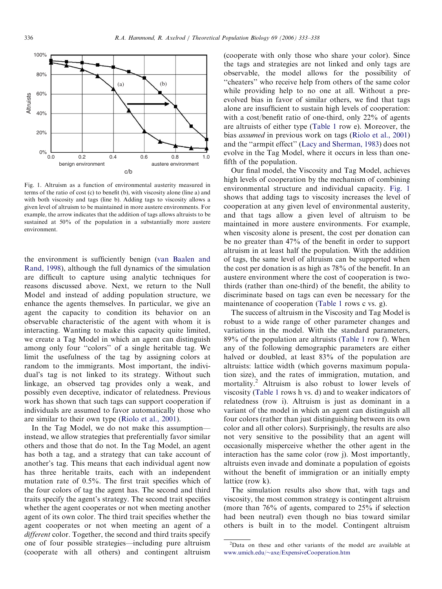<span id="page-3-0"></span>

Fig. 1. Altruism as a function of environmental austerity measured in terms of the ratio of cost (c) to benefit (b), with viscosity alone (line a) and with both viscosity and tags (line b). Adding tags to viscosity allows a given level of altruism to be maintained in more austere environments. For example, the arrow indicates that the addition of tags allows altruists to be sustained at 50% of the population in a substantially more austere environment.

the environment is sufficiently benign [\(van Baalen and](#page-5-0) [Rand, 1998](#page-5-0)), although the full dynamics of the simulation are difficult to capture using analytic techniques for reasons discussed above. Next, we return to the Null Model and instead of adding population structure, we enhance the agents themselves. In particular, we give an agent the capacity to condition its behavior on an observable characteristic of the agent with whom it is interacting. Wanting to make this capacity quite limited, we create a Tag Model in which an agent can distinguish among only four ''colors'' of a single heritable tag. We limit the usefulness of the tag by assigning colors at random to the immigrants. Most important, the individual's tag is not linked to its strategy. Without such linkage, an observed tag provides only a weak, and possibly even deceptive, indicator of relatedness. Previous work has shown that such tags can support cooperation if individuals are assumed to favor automatically those who are similar to their own type [\(Riolo et al., 2001\)](#page-5-0).

In the Tag Model, we do not make this assumption instead, we allow strategies that preferentially favor similar others and those that do not. In the Tag Model, an agent has both a tag, and a strategy that can take account of another's tag. This means that each individual agent now has three heritable traits, each with an independent mutation rate of 0.5%. The first trait specifies which of the four colors of tag the agent has. The second and third traits specify the agent's strategy. The second trait specifies whether the agent cooperates or not when meeting another agent of its own color. The third trait specifies whether the agent cooperates or not when meeting an agent of a different color. Together, the second and third traits specify one of four possible strategies—including pure altruism (cooperate with all others) and contingent altruism

(cooperate with only those who share your color). Since the tags and strategies are not linked and only tags are observable, the model allows for the possibility of ''cheaters'' who receive help from others of the same color while providing help to no one at all. Without a preevolved bias in favor of similar others, we find that tags alone are insufficient to sustain high levels of cooperation: with a cost/benefit ratio of one-third, only 22% of agents are altruists of either type ([Table 1](#page-2-0) row e). Moreover, the bias assumed in previous work on tags ([Riolo et al., 2001](#page-5-0)) and the ''armpit effect'' [\(Lacy and Sherman, 1983](#page-5-0)) does not evolve in the Tag Model, where it occurs in less than onefifth of the population.

Our final model, the Viscosity and Tag Model, achieves high levels of cooperation by the mechanism of combining environmental structure and individual capacity. Fig. 1 shows that adding tags to viscosity increases the level of cooperation at any given level of environmental austerity, and that tags allow a given level of altruism to be maintained in more austere environments. For example, when viscosity alone is present, the cost per donation can be no greater than 47% of the benefit in order to support altruism in at least half the population. With the addition of tags, the same level of altruism can be supported when the cost per donation is as high as 78% of the benefit. In an austere environment where the cost of cooperation is twothirds (rather than one-third) of the benefit, the ability to discriminate based on tags can even be necessary for the maintenance of cooperation ([Table 1](#page-2-0) rows c vs. g).

The success of altruism in the Viscosity and Tag Model is robust to a wide range of other parameter changes and variations in the model. With the standard parameters, 89% of the population are altruists ([Table 1](#page-2-0) row f). When any of the following demographic parameters are either halved or doubled, at least 83% of the population are altruists: lattice width (which governs maximum population size), and the rates of immigration, mutation, and mortality.<sup>2</sup> Altruism is also robust to lower levels of viscosity ([Table 1](#page-2-0) rows h vs. d) and to weaker indicators of relatedness (row i). Altruism is just as dominant in a variant of the model in which an agent can distinguish all four colors (rather than just distinguishing between its own color and all other colors). Surprisingly, the results are also not very sensitive to the possibility that an agent will occasionally misperceive whether the other agent in the interaction has the same color (row j). Most importantly, altruists even invade and dominate a population of egoists without the benefit of immigration or an initially empty lattice (row k).

The simulation results also show that, with tags and viscosity, the most common strategy is contingent altruism (more than 76% of agents, compared to 25% if selection had been neutral) even though no bias toward similar others is built in to the model. Contingent altruism

<sup>2</sup> Data on these and other variants of the model are available at [www.umich.edu/](http://www.umich.edu/~axe/ExpensiveCooperation.htm)[axe/ExpensiveCooperation.htm](http://www.umich.edu/~axe/ExpensiveCooperation.htm)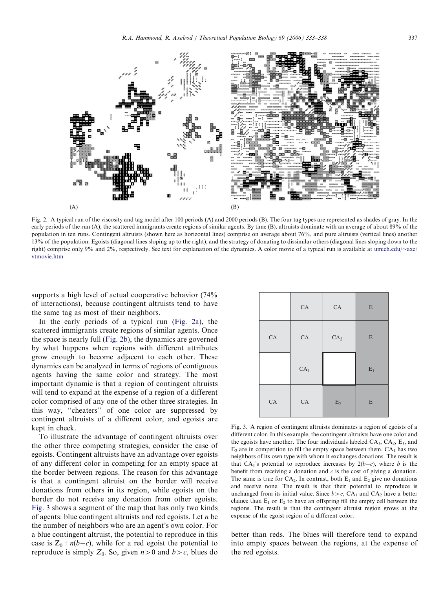<span id="page-4-0"></span>

Fig. 2. A typical run of the viscosity and tag model after 100 periods (A) and 2000 periods (B). The four tag types are represented as shades of gray. In the early periods of the run (A), the scattered immigrants create regions of similar agents. By time (B), altruists dominate with an average of about 89% of the population in ten runs. Contingent altruists (shown here as horizontal lines) comprise on average about 76%, and pure altruists (vertical lines) another 13% of the population. Egoists (diagonal lines sloping up to the right), and the strategy of donating to dissimilar others (diagonal lines sloping down to the right) comprise only 9% and 2%, respectively. See text for explanation of the dynamics. A color movie of a typical run is available at [umich.edu/](http://umich.edu/~axe/vtmovie.htm) $\sim$ [axe/](http://umich.edu/~axe/vtmovie.htm) [vtmovie.htm](http://umich.edu/~axe/vtmovie.htm)

supports a high level of actual cooperative behavior (74% of interactions), because contingent altruists tend to have the same tag as most of their neighbors.

In the early periods of a typical run (Fig. 2a), the scattered immigrants create regions of similar agents. Once the space is nearly full (Fig. 2b), the dynamics are governed by what happens when regions with different attributes grow enough to become adjacent to each other. These dynamics can be analyzed in terms of regions of contiguous agents having the same color and strategy. The most important dynamic is that a region of contingent altruists will tend to expand at the expense of a region of a different color comprised of any one of the other three strategies. In this way, ''cheaters'' of one color are suppressed by contingent altruists of a different color, and egoists are kept in check.

To illustrate the advantage of contingent altruists over the other three competing strategies, consider the case of egoists. Contingent altruists have an advantage over egoists of any different color in competing for an empty space at the border between regions. The reason for this advantage is that a contingent altruist on the border will receive donations from others in its region, while egoists on the border do not receive any donation from other egoists. Fig. 3 shows a segment of the map that has only two kinds of agents: blue contingent altruists and red egoists. Let  $n$  be the number of neighbors who are an agent's own color. For a blue contingent altruist, the potential to reproduce in this case is  $Z_0 + n(b-c)$ , while for a red egoist the potential to reproduce is simply  $Z_0$ . So, given  $n>0$  and  $b>c$ , blues do

|    | ${\rm CA}$   | ${\rm CA}$      | $\mathbf E$    |
|----|--------------|-----------------|----------------|
| CA | CA           | CA <sub>2</sub> | $\mathbf E$    |
|    | ${\rm CA}_1$ |                 | $\mathbf{E}_1$ |
| CA | ${\rm CA}$   | $\mathbf{E}_2$  | $\mathbf E$    |

Fig. 3. A region of contingent altruists dominates a region of egoists of a different color. In this example, the contingent altruists have one color and the egoists have another. The four individuals labeled  $CA_1$ ,  $CA_2$ ,  $E_1$ , and  $E_2$  are in competition to fill the empty space between them.  $CA_1$  has two neighbors of its own type with whom it exchanges donations. The result is that CA<sub>1</sub>'s potential to reproduce increases by  $2(b-c)$ , where b is the benefit from receiving a donation and  $c$  is the cost of giving a donation. The same is true for  $CA_2$ . In contrast, both  $E_1$  and  $E_2$  give no donations and receive none. The result is that their potential to reproduce is unchanged from its initial value. Since  $b>c$ , CA<sub>1</sub> and CA<sub>2</sub> have a better chance than  $E_1$  or  $E_2$  to have an offspring fill the empty cell between the regions. The result is that the contingent altruist region grows at the expense of the egoist region of a different color.

better than reds. The blues will therefore tend to expand into empty spaces between the regions, at the expense of the red egoists.